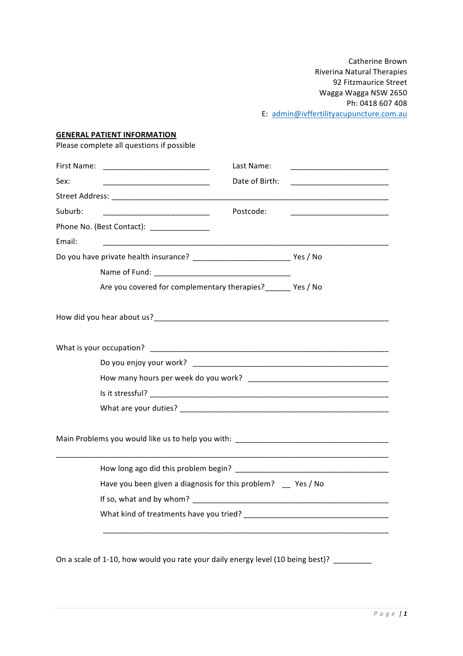Catherine Brown Riverina Natural Therapies 92 Fitzmaurice Street Wagga Wagga NSW 2650 Ph: 0418 607 408 E: admin@ivffertilityacupuncture.com.au

## **GENERAL PATIENT INFORMATION**

Please complete all questions if possible

|                                            | Last Name:                                                                                                                          |  |
|--------------------------------------------|-------------------------------------------------------------------------------------------------------------------------------------|--|
| Sex:                                       | Date of Birth:<br><u> 1999 - Johann John Harrison, mars eta ba</u>                                                                  |  |
|                                            |                                                                                                                                     |  |
| Suburb:                                    | Postcode:<br><u> 1999 - Johann John Harry Harry Harry Harry Harry Harry Harry Harry Harry Harry Harry Harry Harry Harry Harry H</u> |  |
| Phone No. (Best Contact): ________________ |                                                                                                                                     |  |
| Email:                                     |                                                                                                                                     |  |
|                                            |                                                                                                                                     |  |
|                                            |                                                                                                                                     |  |
|                                            | Are you covered for complementary therapies? _______ Yes / No                                                                       |  |
|                                            |                                                                                                                                     |  |
|                                            |                                                                                                                                     |  |
|                                            |                                                                                                                                     |  |
|                                            |                                                                                                                                     |  |
|                                            |                                                                                                                                     |  |
|                                            |                                                                                                                                     |  |
|                                            |                                                                                                                                     |  |
|                                            |                                                                                                                                     |  |
|                                            | Have you been given a diagnosis for this problem? _ Yes / No                                                                        |  |
|                                            |                                                                                                                                     |  |
|                                            |                                                                                                                                     |  |
|                                            | On a scale of 1-10, how would you rate your daily energy level (10 being best)? ________                                            |  |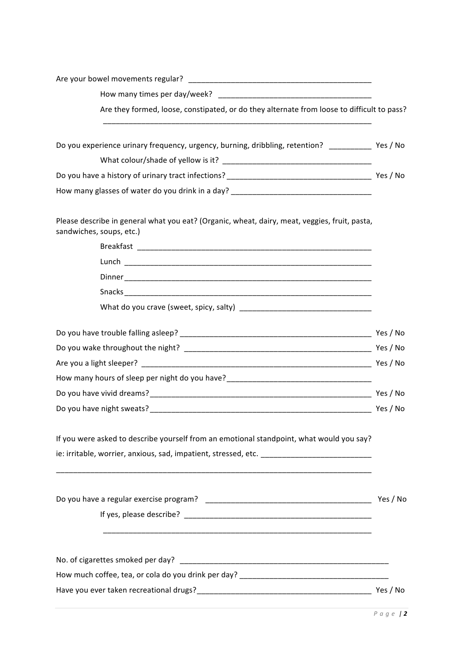| How many times per day/week?                                                                                              |          |
|---------------------------------------------------------------------------------------------------------------------------|----------|
| Are they formed, loose, constipated, or do they alternate from loose to difficult to pass?                                |          |
| Do you experience urinary frequency, urgency, burning, dribbling, retention? _____________ Yes / No                       |          |
|                                                                                                                           |          |
|                                                                                                                           |          |
| How many glasses of water do you drink in a day? ________________________________                                         |          |
| Please describe in general what you eat? (Organic, wheat, dairy, meat, veggies, fruit, pasta,<br>sandwiches, soups, etc.) |          |
|                                                                                                                           |          |
|                                                                                                                           |          |
|                                                                                                                           |          |
|                                                                                                                           |          |
|                                                                                                                           |          |
|                                                                                                                           |          |
|                                                                                                                           |          |
|                                                                                                                           |          |
| How many hours of sleep per night do you have?__________________________________                                          |          |
|                                                                                                                           |          |
|                                                                                                                           |          |
| If you were asked to describe yourself from an emotional standpoint, what would you say?                                  |          |
| ie: irritable, worrier, anxious, sad, impatient, stressed, etc. ___________________________________                       |          |
|                                                                                                                           | Yes / No |
|                                                                                                                           |          |
|                                                                                                                           |          |
|                                                                                                                           |          |
|                                                                                                                           |          |
|                                                                                                                           |          |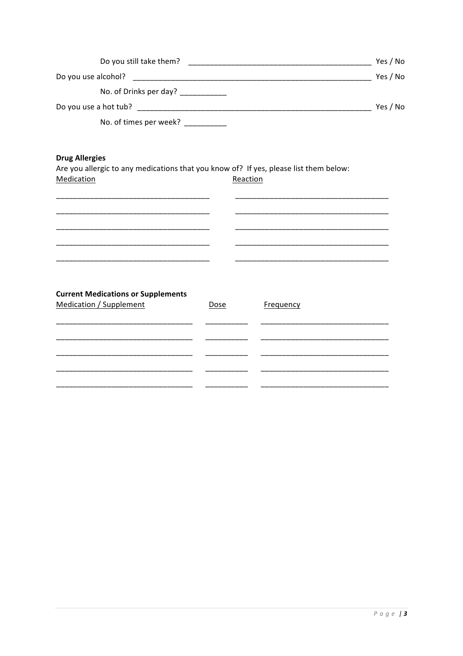| Do you still take them? | Yes / No |
|-------------------------|----------|
| Do you use alcohol?     | Yes / No |
| No. of Drinks per day?  |          |
| Do you use a hot tub?   | Yes / No |
| No. of times per week?  |          |

# **Drug Allergies**

Are you allergic to any medications that you know of? If yes, please list them below: Medication Reaction

| <b>Current Medications or Supplements</b><br><b>Medication / Supplement</b> | Dose | Frequency |  |
|-----------------------------------------------------------------------------|------|-----------|--|
|                                                                             |      |           |  |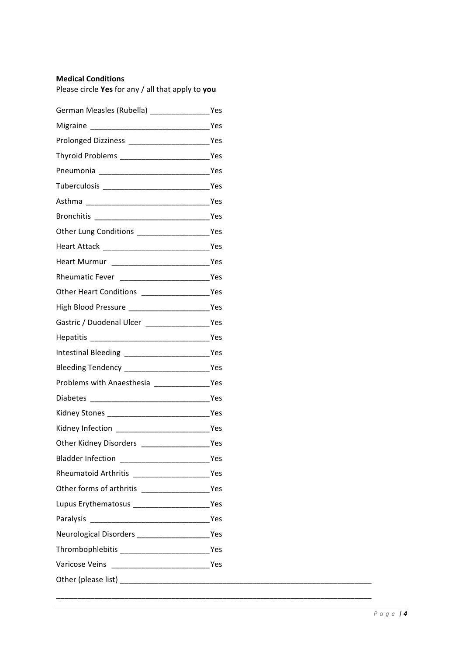## **Medical Conditions**

Please circle **Yes** for any / all that apply to you

| German Measles (Rubella) _________________Yes     |     |
|---------------------------------------------------|-----|
|                                                   |     |
| Prolonged Dizziness __________________________Yes |     |
|                                                   |     |
|                                                   |     |
|                                                   |     |
|                                                   |     |
|                                                   |     |
| Other Lung Conditions ______________________Yes   |     |
|                                                   |     |
|                                                   |     |
| Rheumatic Fever _____________________________Yes  |     |
|                                                   |     |
|                                                   |     |
|                                                   |     |
|                                                   |     |
| Intestinal Bleeding _________________________Yes  |     |
| Bleeding Tendency __________________________Yes   |     |
|                                                   |     |
|                                                   |     |
| Kidney Stones ________________________________Yes |     |
|                                                   |     |
|                                                   |     |
| <b>Bladder Infection</b>                          | Yes |
|                                                   |     |
|                                                   |     |
| Lupus Erythematosus ______________________Yes     |     |
|                                                   |     |
| Neurological Disorders ______________________Yes  |     |
|                                                   |     |
|                                                   |     |
|                                                   |     |

\_\_\_\_\_\_\_\_\_\_\_\_\_\_\_\_\_\_\_\_\_\_\_\_\_\_\_\_\_\_\_\_\_\_\_\_\_\_\_\_\_\_\_\_\_\_\_\_\_\_\_\_\_\_\_\_\_\_\_\_\_\_\_\_\_\_\_\_\_\_\_\_\_\_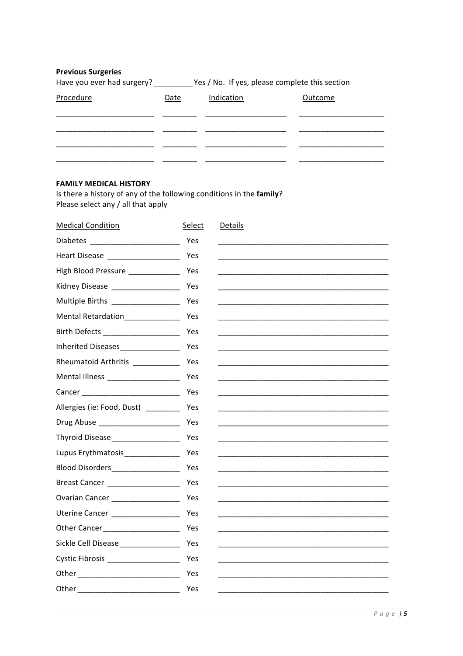| <b>Previous Surgeries</b><br>Have you ever had surgery? |      | Yes / No. If yes, please complete this section |         |
|---------------------------------------------------------|------|------------------------------------------------|---------|
| Procedure                                               | Date | Indication                                     | Outcome |
|                                                         |      |                                                |         |
|                                                         |      |                                                |         |
|                                                         |      |                                                |         |

# **FAMILY MEDICAL HISTORY**

Is there a history of any of the following conditions in the family? Please select any / all that apply

| <b>Medical Condition</b>                                                                                                                                                                                                       | Select | <b>Details</b> |
|--------------------------------------------------------------------------------------------------------------------------------------------------------------------------------------------------------------------------------|--------|----------------|
|                                                                                                                                                                                                                                | Yes    |                |
| Heart Disease _____________________                                                                                                                                                                                            | Yes    |                |
| High Blood Pressure _____________                                                                                                                                                                                              | Yes    |                |
| Kidney Disease __________________                                                                                                                                                                                              | Yes    |                |
| Multiple Births _________________                                                                                                                                                                                              | Yes    |                |
| Mental Retardation_______________                                                                                                                                                                                              | Yes    |                |
|                                                                                                                                                                                                                                | Yes    |                |
| Inherited Diseases_________________                                                                                                                                                                                            | Yes    |                |
| Rheumatoid Arthritis ___________                                                                                                                                                                                               | Yes    |                |
| Mental Illness ___________________                                                                                                                                                                                             | Yes    |                |
|                                                                                                                                                                                                                                | Yes    |                |
| Allergies (ie: Food, Dust) ________                                                                                                                                                                                            | Yes    |                |
| Drug Abuse ______________________                                                                                                                                                                                              | Yes    |                |
| Thyroid Disease__________________                                                                                                                                                                                              | Yes    |                |
| Lupus Erythmatosis________________                                                                                                                                                                                             | Yes    |                |
| Blood Disorders_________________                                                                                                                                                                                               | Yes    |                |
| Breast Cancer _____________________                                                                                                                                                                                            | Yes    |                |
| Ovarian Cancer _________________                                                                                                                                                                                               | Yes    |                |
| Uterine Cancer __________________                                                                                                                                                                                              | Yes    |                |
| Other Cancer_____________________                                                                                                                                                                                              | Yes    |                |
| Sickle Cell Disease _________________                                                                                                                                                                                          | Yes    |                |
| Cystic Fibrosis ____________________                                                                                                                                                                                           | Yes    |                |
|                                                                                                                                                                                                                                | Yes    |                |
| Other the contract of the contract of the contract of the contract of the contract of the contract of the contract of the contract of the contract of the contract of the contract of the contract of the contract of the cont | Yes    |                |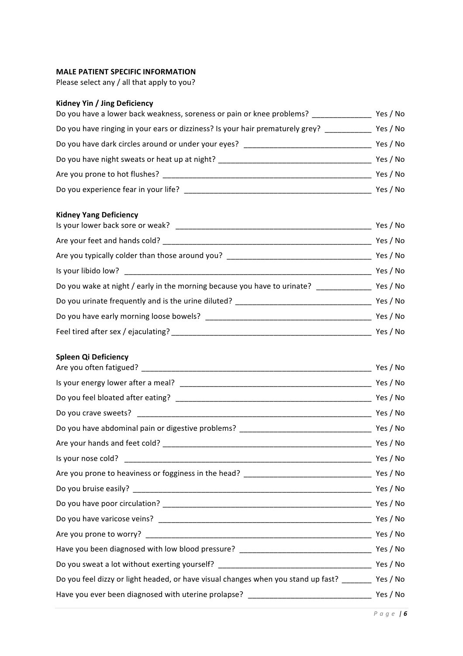### **MALE PATIENT SPECIFIC INFORMATION**

Please select any / all that apply to you?

# **Kidney Yin / Jing Deficiency**

| Do you have a lower back weakness, soreness or pain or knee problems?         | Yes / No |
|-------------------------------------------------------------------------------|----------|
| Do you have ringing in your ears or dizziness? Is your hair prematurely grey? | Yes / No |
| Do you have dark circles around or under your eyes?                           | Yes / No |
| Do you have night sweats or heat up at night?                                 | Yes / No |
| Are you prone to hot flushes?                                                 | Yes / No |
| Do you experience fear in your life?                                          | Yes / No |

# **Kidney Yang Deficiency**

| Is your lower back sore or weak?                                         | Yes / No |
|--------------------------------------------------------------------------|----------|
| Are your feet and hands cold?                                            | Yes / No |
| Are you typically colder than those around you?                          | Yes / No |
| Is your libido low?                                                      | Yes / No |
| Do you wake at night / early in the morning because you have to urinate? | Yes / No |
| Do you urinate frequently and is the urine diluted?                      | Yes / No |
|                                                                          | Yes / No |
| Feel tired after sex / ejaculating?                                      | Yes / No |

## **Spleen Qi Deficiency**

|                                                                                                    | Yes / No |
|----------------------------------------------------------------------------------------------------|----------|
|                                                                                                    |          |
|                                                                                                    |          |
|                                                                                                    |          |
|                                                                                                    |          |
|                                                                                                    |          |
|                                                                                                    |          |
|                                                                                                    |          |
|                                                                                                    |          |
|                                                                                                    |          |
|                                                                                                    |          |
|                                                                                                    |          |
|                                                                                                    |          |
|                                                                                                    |          |
| Do you feel dizzy or light headed, or have visual changes when you stand up fast? _______ Yes / No |          |
|                                                                                                    |          |
|                                                                                                    |          |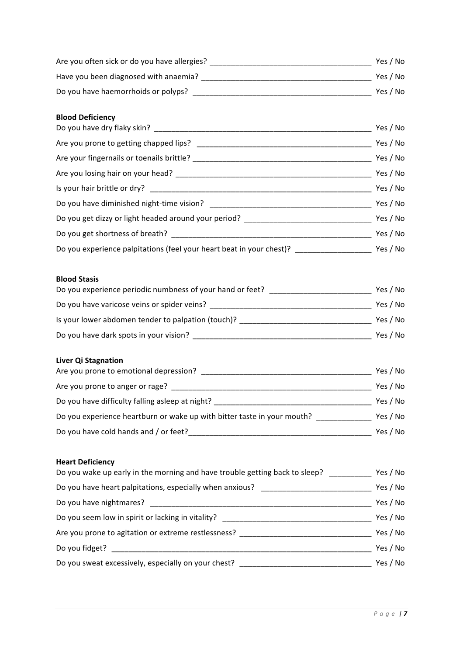| Are you often sick or do you have allergies? | Yes / No |
|----------------------------------------------|----------|
| Have you been diagnosed with anaemia?        | Yes / No |
| Do you have haemorrhoids or polyps?          | Yes / No |

## **Blood Deficiency**

|                                                                                  | Yes / No |
|----------------------------------------------------------------------------------|----------|
| Are you prone to getting chapped lips?                                           | Yes / No |
| Are your fingernails or toenails brittle?                                        | Yes / No |
|                                                                                  | Yes / No |
|                                                                                  | Yes / No |
|                                                                                  | Yes / No |
| Do you get dizzy or light headed around your period? ___________________________ | Yes / No |
|                                                                                  | Yes / No |
| Do you experience palpitations (feel your heart beat in your chest)?             | Yes / No |

# **Blood!Stasis!**

| Do you experience periodic numbness of your hand or feet? | Yes / No |
|-----------------------------------------------------------|----------|
| Do you have varicose veins or spider veins?               | Yes / No |
| Is your lower abdomen tender to palpation (touch)?        | Yes / No |
| Do you have dark spots in your vision?                    | Yes / No |

# **Liver Qi Stagnation**

| Are you prone to emotional depression?                                  | Yes / No |
|-------------------------------------------------------------------------|----------|
| Are you prone to anger or rage?                                         | Yes / No |
| Do you have difficulty falling asleep at night?                         | Yes / No |
| Do you experience heartburn or wake up with bitter taste in your mouth? | Yes / No |
| Do you have cold hands and / or feet?                                   | Yes / No |

# **Heart Deficiency**

| Yes / No |
|----------|
| Yes / No |
| Yes / No |
| Yes / No |
| Yes / No |
| Yes / No |
| Yes / No |
|          |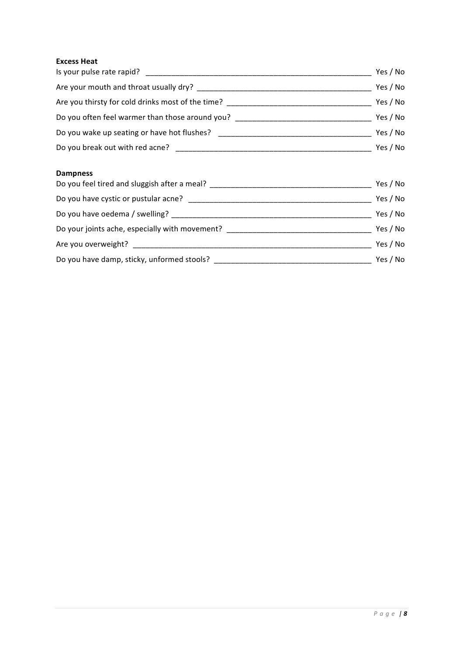## **Excess Heat**

| Is your pulse rate rapid?                         | Yes / No |
|---------------------------------------------------|----------|
| Are your mouth and throat usually dry?            | Yes / No |
| Are you thirsty for cold drinks most of the time? | Yes / No |
| Do you often feel warmer than those around you?   | Yes / No |
| Do you wake up seating or have hot flushes?       | Yes / No |
| Do you break out with red acne?                   | Yes / No |

#### **Dampness!**

| Do you feel tired and sluggish after a meal?   | Yes / No |
|------------------------------------------------|----------|
| Do you have cystic or pustular acne?           | Yes / No |
| Do you have oedema / swelling?                 | Yes / No |
| Do your joints ache, especially with movement? | Yes / No |
| Are you overweight?                            | Yes / No |
| Do you have damp, sticky, unformed stools?     | Yes / No |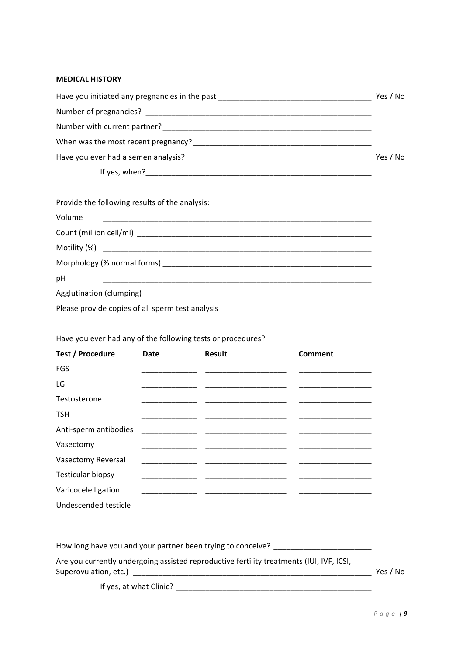#### **MEDICAL!HISTORY**

| Have you initiated any pregnancies in the past <b>container and the set of the set of the set of the set of the set of the set of the set of the set of the set of the set of the set of the set of the set of the set of the se</b> | Yes / No |
|--------------------------------------------------------------------------------------------------------------------------------------------------------------------------------------------------------------------------------------|----------|
|                                                                                                                                                                                                                                      |          |
| Number with current partner?<br>The contract of the contract of the contract of the contract of the contract of the contract of the contract of the contract of the contract of the contract of the contract of the contract of      |          |
| When was the most recent pregnancy?                                                                                                                                                                                                  |          |
|                                                                                                                                                                                                                                      | Yes / No |
| If yes, when? $\blacksquare$                                                                                                                                                                                                         |          |

| Provide the following results of the analysis: |  |  |
|------------------------------------------------|--|--|
| Volume                                         |  |  |
|                                                |  |  |
|                                                |  |  |
|                                                |  |  |
| pH                                             |  |  |
|                                                |  |  |
|                                                |  |  |

Please provide copies of all sperm test analysis

# Have you ever had any of the following tests or procedures?

| <b>Test / Procedure</b>  | Date | <b>Result</b>                                                   | Comment |
|--------------------------|------|-----------------------------------------------------------------|---------|
| <b>FGS</b>               |      |                                                                 |         |
| LG                       |      |                                                                 |         |
| Testosterone             |      | ___________                                                     |         |
| <b>TSH</b>               |      |                                                                 |         |
| Anti-sperm antibodies    |      |                                                                 |         |
| Vasectomy                |      |                                                                 |         |
| Vasectomy Reversal       |      | <u> 1960 - Johann John Harrison, mars eta bainar eta erroma</u> |         |
| <b>Testicular biopsy</b> |      |                                                                 |         |
| Varicocele ligation      |      |                                                                 |         |
| Undescended testicle     |      | __________                                                      |         |

How long have you and your partner been trying to conceive? \_\_\_\_\_\_\_\_\_\_\_\_\_\_\_\_\_\_\_\_ Are you currently undergoing assisted reproductive fertility treatments (IUI, IVF, ICSI, Superovulation,!etc.)!!\_\_\_\_\_\_\_\_\_\_\_\_\_\_\_\_\_\_\_\_\_\_\_\_\_\_\_\_\_\_\_\_\_\_\_\_\_\_\_\_\_\_\_\_\_\_\_\_\_\_\_\_\_\_\_\_ Yes!/ No If!yes,!at!what!Clinic? \_\_\_\_\_\_\_\_\_\_\_\_\_\_\_\_\_\_\_\_\_\_\_\_\_\_\_\_\_\_\_\_\_\_\_\_\_\_\_\_\_\_\_\_\_\_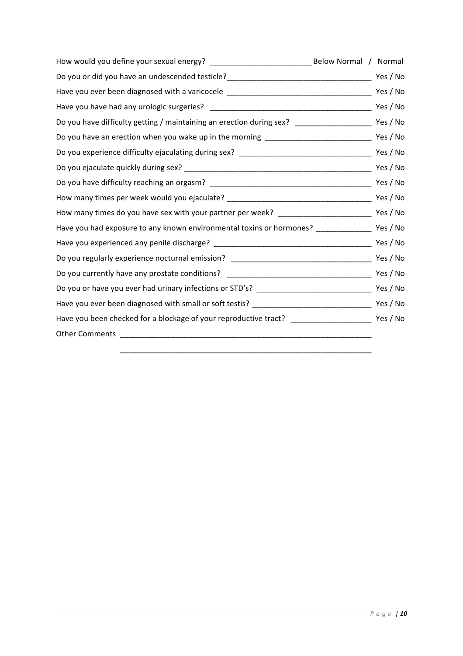| Below Normal / Normal                                                                                    |          |
|----------------------------------------------------------------------------------------------------------|----------|
|                                                                                                          |          |
| Have you ever been diagnosed with a varicocele _________________________________                         | Yes / No |
|                                                                                                          | Yes / No |
| Do you have difficulty getting / maintaining an erection during sex? __________________________ Yes / No |          |
|                                                                                                          |          |
|                                                                                                          |          |
|                                                                                                          | Yes / No |
|                                                                                                          |          |
|                                                                                                          |          |
|                                                                                                          |          |
| Have you had exposure to any known environmental toxins or hormones? ________________ Yes / No           |          |
|                                                                                                          |          |
| Do you regularly experience nocturnal emission? ________________________________                         | Yes / No |
| Do you currently have any prostate conditions? _________________________________                         | Yes / No |
|                                                                                                          |          |
|                                                                                                          |          |
| Have you been checked for a blockage of your reproductive tract? ______________________________ Yes / No |          |
|                                                                                                          |          |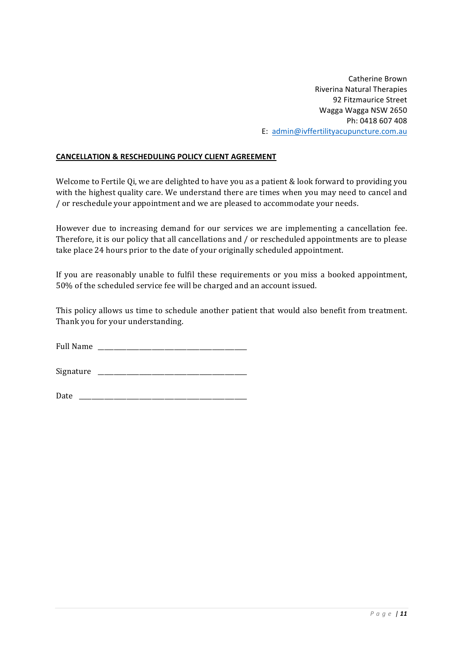Catherine Brown Riverina Natural Therapies 92 Fitzmaurice Street Wagga Wagga NSW 2650 Ph: 0418 607 408 E: admin@ivffertilityacupuncture.com.au

# **CANCELLATION & RESCHEDULING POLICY CLIENT AGREEMENT**

Welcome to Fertile Qi, we are delighted to have you as a patient & look forward to providing you with the highest quality care. We understand there are times when you may need to cancel and /'or'reschedule'your'appointment'and'we'are'pleased'to'accommodate'your'needs.

However due to increasing demand for our services we are implementing a cancellation fee. Therefore, it is our policy that all cancellations and / or rescheduled appointments are to please take place 24 hours prior to the date of your originally scheduled appointment.

If you are reasonably unable to fulfil these requirements or you miss a booked appointment, 50% of the scheduled service fee will be charged and an account issued.

This policy allows us time to schedule another patient that would also benefit from treatment. Thank you for your understanding.

Full Name

Signature

Date'''\_\_\_\_\_\_\_\_\_\_\_\_\_\_\_\_\_\_\_\_\_\_\_\_\_\_\_\_\_\_\_\_\_\_\_\_\_\_\_\_\_\_\_\_\_\_\_\_\_\_\_\_\_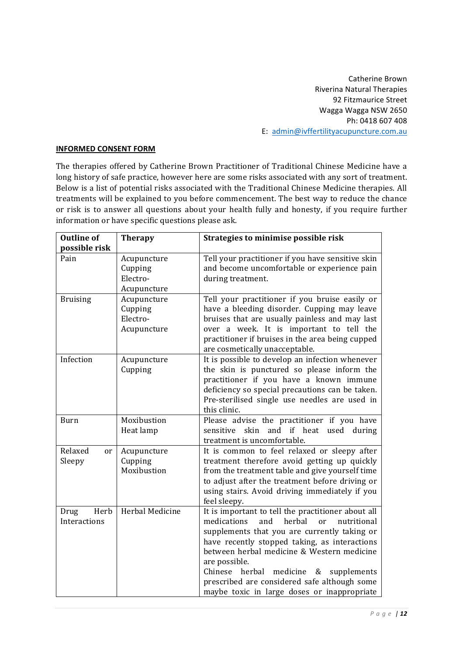Catherine Brown Riverina Natural Therapies 92 Fitzmaurice Street Wagga Wagga NSW 2650 Ph: 0418 607 408 E: admin@ivffertilityacupuncture.com.au

### **INFORMED CONSENT FORM**

The therapies offered by Catherine Brown Practitioner of Traditional Chinese Medicine have a long history of safe practice, however here are some risks associated with any sort of treatment. Below is a list of potential risks associated with the Traditional Chinese Medicine therapies. All treatments will be explained to you before commencement. The best way to reduce the chance or risk is to answer all questions about your health fully and honesty, if you require further information or have specific questions please ask.

| <b>Outline of</b><br>possible risk | <b>Therapy</b>                                    | Strategies to minimise possible risk                                                                                                                                                                                                                                                                                                                                                                                     |
|------------------------------------|---------------------------------------------------|--------------------------------------------------------------------------------------------------------------------------------------------------------------------------------------------------------------------------------------------------------------------------------------------------------------------------------------------------------------------------------------------------------------------------|
| Pain                               | Acupuncture<br>Cupping<br>Electro-<br>Acupuncture | Tell your practitioner if you have sensitive skin<br>and become uncomfortable or experience pain<br>during treatment.                                                                                                                                                                                                                                                                                                    |
| <b>Bruising</b>                    | Acupuncture<br>Cupping<br>Electro-<br>Acupuncture | Tell your practitioner if you bruise easily or<br>have a bleeding disorder. Cupping may leave<br>bruises that are usually painless and may last<br>over a week. It is important to tell the<br>practitioner if bruises in the area being cupped<br>are cosmetically unacceptable.                                                                                                                                        |
| Infection                          | Acupuncture<br>Cupping                            | It is possible to develop an infection whenever<br>the skin is punctured so please inform the<br>practitioner if you have a known immune<br>deficiency so special precautions can be taken.<br>Pre-sterilised single use needles are used in<br>this clinic.                                                                                                                                                             |
| <b>Burn</b>                        | Moxibustion<br>Heat lamp                          | Please advise the practitioner if you have<br>sensitive skin<br>and if heat used during<br>treatment is uncomfortable.                                                                                                                                                                                                                                                                                                   |
| Relaxed<br>or<br>Sleepy            | Acupuncture<br>Cupping<br>Moxibustion             | It is common to feel relaxed or sleepy after<br>treatment therefore avoid getting up quickly<br>from the treatment table and give yourself time<br>to adjust after the treatment before driving or<br>using stairs. Avoid driving immediately if you<br>feel sleepy.                                                                                                                                                     |
| Herb<br>Drug<br>Interactions       | Herbal Medicine                                   | It is important to tell the practitioner about all<br>medications<br>and<br>herbal<br>or<br>nutritional<br>supplements that you are currently taking or<br>have recently stopped taking, as interactions<br>between herbal medicine & Western medicine<br>are possible.<br>medicine<br>Chinese herbal<br>&<br>supplements<br>prescribed are considered safe although some<br>maybe toxic in large doses or inappropriate |